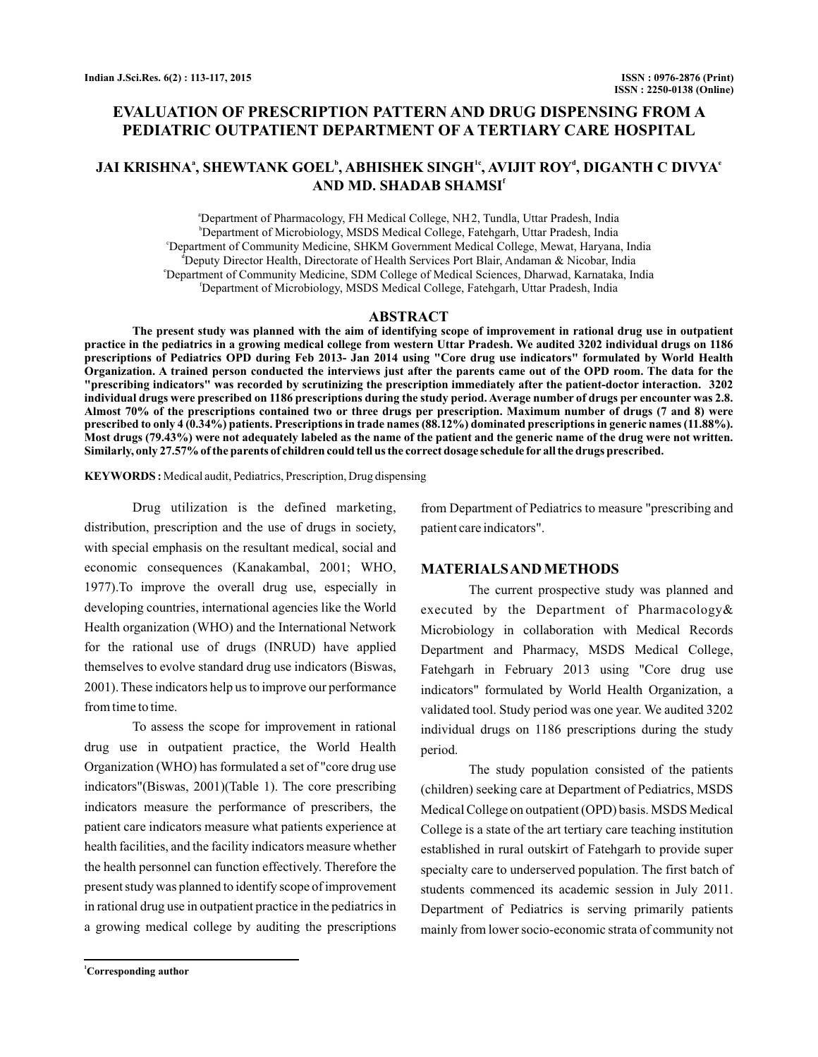# **EVALUATION OF PRESCRIPTION PATTERN AND DRUG DISPENSING FROM A PEDIATRIC OUTPATIENT DEPARTMENT OF A TERTIARY CARE HOSPITAL**

## **JAI KRISHNA , SHEWTANK GOEL , ABHISHEK SINGH , AVIJIT ROY , DIGANTH C DIVYA a b 1c d e AND MD. SHADAB SHAMSI f**

a Department of Pharmacology, FH Medical College, NH 2, Tundla, Uttar Pradesh, India b Department of Microbiology, MSDS Medical College, Fatehgarh, Uttar Pradesh, India c Department of Community Medicine, SHKM Government Medical College, Mewat, Haryana, India d Deputy Director Health, Directorate of Health Services Port Blair, Andaman & Nicobar, India e Department of Community Medicine, SDM College of Medical Sciences, Dharwad, Karnataka, India f Department of Microbiology, MSDS Medical College, Fatehgarh, Uttar Pradesh, India

#### **ABSTRACT**

**The present study was planned with the aim of identifying scope of improvement in rational drug use in outpatient practice in the pediatrics in a growing medical college from western Uttar Pradesh. We audited 3202 individual drugs on 1186 prescriptions of Pediatrics OPD during Feb 2013- Jan 2014 using "Core drug use indicators" formulated by World Health Organization. A trained person conducted the interviews just after the parents came out of the OPD room. The data for the "prescribing indicators" was recorded by scrutinizing the prescription immediately after the patient-doctor interaction. 3202 individual drugs were prescribed on 1186 prescriptions during the study period. Average number of drugs per encounter was 2.8. Almost 70% of the prescriptions contained two or three drugs per prescription. Maximum number of drugs (7 and 8) were prescribed to only 4 (0.34%) patients. Prescriptions in trade names (88.12%) dominated prescriptions in generic names (11.88%). Most drugs (79.43%) were not adequately labeled as the name of the patient and the generic name of the drug were not written. Similarly, only 27.57% of the parents of children could tell us the correct dosage schedule for all the drugs prescribed.**

**KEYWORDS :** Medical audit, Pediatrics, Prescription, Drug dispensing

Drug utilization is the defined marketing, distribution, prescription and the use of drugs in society, with special emphasis on the resultant medical, social and economic consequences (Kanakambal, 2001; WHO, 1977).To improve the overall drug use, especially in developing countries, international agencies like the World Health organization (WHO) and the International Network for the rational use of drugs (INRUD) have applied themselves to evolve standard drug use indicators (Biswas, 2001). These indicators help us to improve our performance from time to time.

To assess the scope for improvement in rational drug use in outpatient practice, the World Health Organization (WHO) has formulated a set of "core drug use indicators"(Biswas, 2001)(Table 1). The core prescribing indicators measure the performance of prescribers, the patient care indicators measure what patients experience at health facilities, and the facility indicators measure whether the health personnel can function effectively. Therefore the present study was planned to identify scope of improvement in rational drug use in outpatient practice in the pediatrics in a growing medical college by auditing the prescriptions

from Department of Pediatrics to measure "prescribing and patient care indicators".

#### **MATERIALSAND METHODS**

The current prospective study was planned and executed by the Department of Pharmacology& Microbiology in collaboration with Medical Records Department and Pharmacy, MSDS Medical College, Fatehgarh in February 2013 using "Core drug use indicators" formulated by World Health Organization, a validated tool. Study period was one year. We audited 3202 individual drugs on 1186 prescriptions during the study period.

The study population consisted of the patients (children) seeking care at Department of Pediatrics, MSDS Medical College on outpatient (OPD) basis. MSDS Medical College is a state of the art tertiary care teaching institution established in rural outskirt of Fatehgarh to provide super specialty care to underserved population. The first batch of students commenced its academic session in July 2011. Department of Pediatrics is serving primarily patients mainly from lower socio-economic strata of community not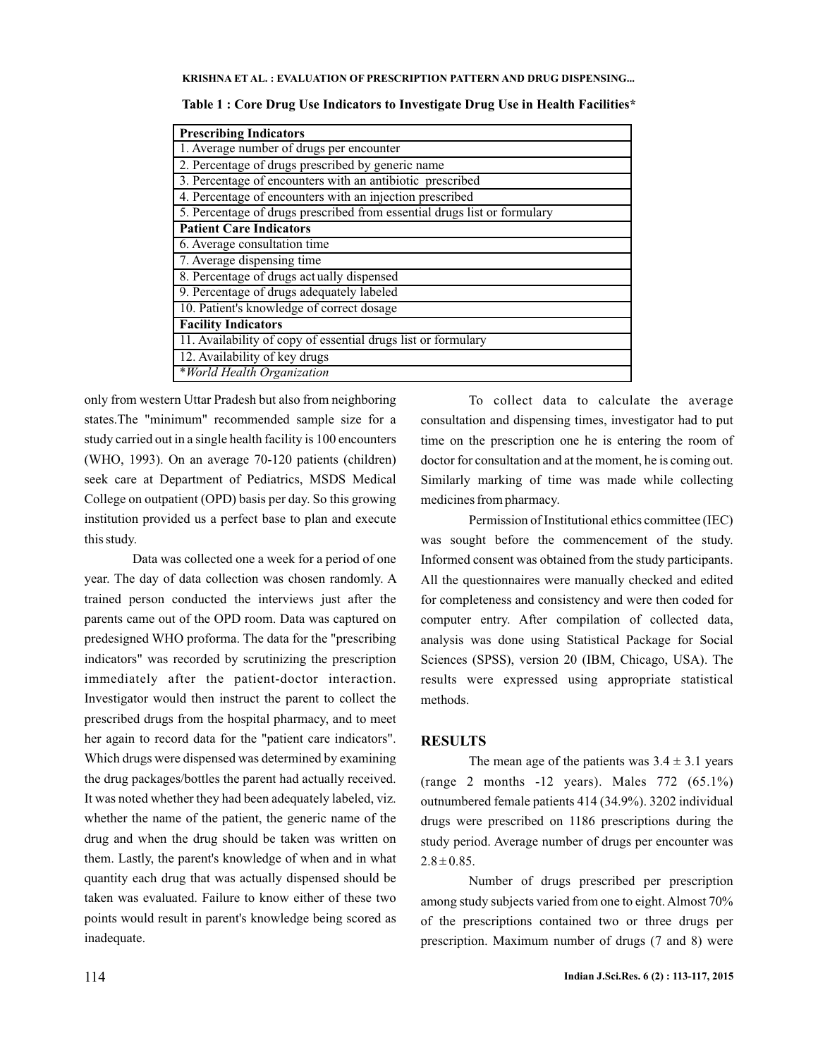**KRISHNA ET AL. EVALUATION OF PRESCRIPTION PATTERN AND DRUG DISPENSING... :**

| <b>Prescribing Indicators</b>                                            |
|--------------------------------------------------------------------------|
| 1. Average number of drugs per encounter                                 |
| 2. Percentage of drugs prescribed by generic name                        |
| 3. Percentage of encounters with an antibiotic prescribed                |
| 4. Percentage of encounters with an injection prescribed                 |
| 5. Percentage of drugs prescribed from essential drugs list or formulary |
| <b>Patient Care Indicators</b>                                           |
| 6. Average consultation time                                             |
| 7. Average dispensing time                                               |
| 8. Percentage of drugs actually dispensed                                |
| 9. Percentage of drugs adequately labeled                                |
| 10. Patient's knowledge of correct dosage                                |
| <b>Facility Indicators</b>                                               |
| 11. Availability of copy of essential drugs list or formulary            |
| 12. Availability of key drugs                                            |
| *World Health Organization                                               |

only from western Uttar Pradesh but also from neighboring states.The "minimum" recommended sample size for a study carried out in a single health facility is 100 encounters (WHO, 1993). On an average 70-120 patients (children) seek care at Department of Pediatrics, MSDS Medical College on outpatient (OPD) basis per day. So this growing institution provided us a perfect base to plan and execute this study.

Data was collected one a week for a period of one year. The day of data collection was chosen randomly. A trained person conducted the interviews just after the parents came out of the OPD room. Data was captured on predesigned WHO proforma. The data for the "prescribing indicators" was recorded by scrutinizing the prescription immediately after the patient-doctor interaction. Investigator would then instruct the parent to collect the prescribed drugs from the hospital pharmacy, and to meet her again to record data for the "patient care indicators". Which drugs were dispensed was determined by examining the drug packages/bottles the parent had actually received. It was noted whether they had been adequately labeled, viz. whether the name of the patient, the generic name of the drug and when the drug should be taken was written on them. Lastly, the parent's knowledge of when and in what quantity each drug that was actually dispensed should be taken was evaluated. Failure to know either of these two points would result in parent's knowledge being scored as inadequate.

To collect data to calculate the average consultation and dispensing times, investigator had to put time on the prescription one he is entering the room of doctor for consultation and at the moment, he is coming out. Similarly marking of time was made while collecting medicines from pharmacy.

Permission of Institutional ethics committee (IEC) was sought before the commencement of the study. Informed consent was obtained from the study participants. All the questionnaires were manually checked and edited for completeness and consistency and were then coded for computer entry. After compilation of collected data, analysis was done using Statistical Package for Social Sciences (SPSS), version 20 (IBM, Chicago, USA). The results were expressed using appropriate statistical methods.

## **RESULTS**

The mean age of the patients was  $3.4 \pm 3.1$  years (range 2 months -12 years). Males 772 (65.1%) outnumbered female patients 414 (34.9%). 3202 individual drugs were prescribed on 1186 prescriptions during the study period. Average number of drugs per encounter was  $2.8 \pm 0.85$ .

Number of drugs prescribed per prescription among study subjects varied from one to eight. Almost 70% of the prescriptions contained two or three drugs per prescription. Maximum number of drugs (7 and 8) were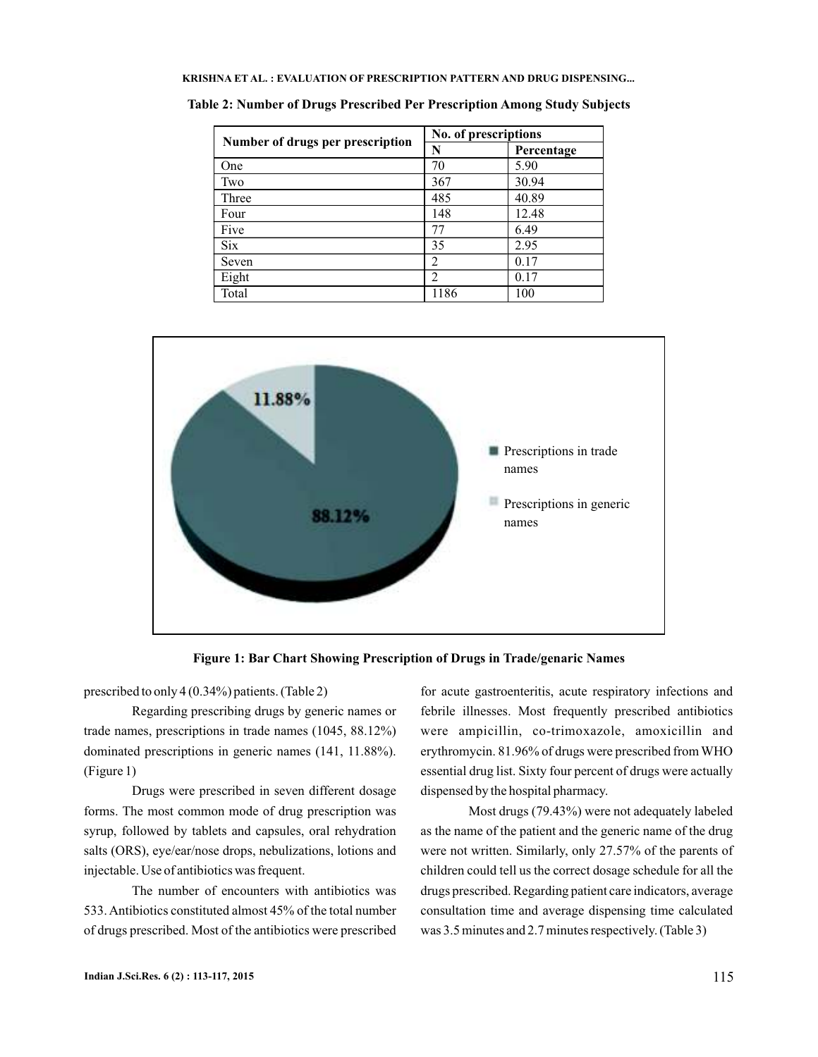| KRISHNA ET AL. : EVALUATION OF PRESCRIPTION PATTERN AND DRUG DISPENSING |  |
|-------------------------------------------------------------------------|--|
|-------------------------------------------------------------------------|--|

|                                  | No. of prescriptions |            |  |
|----------------------------------|----------------------|------------|--|
| Number of drugs per prescription | N                    | Percentage |  |
| One                              | 70                   | 5.90       |  |
| Two                              | 367                  | 30.94      |  |
| Three                            | 485                  | 40.89      |  |
| Four                             | 148                  | 12.48      |  |
| Five                             | 77                   | 6.49       |  |
| <b>Six</b>                       | 35                   | 2.95       |  |
| Seven                            | 2                    | 0.17       |  |
| Eight                            | $\overline{c}$       | 0.17       |  |
| Total                            | 1186                 | 100        |  |

**Table 2: Number of Drugs Prescribed Per Prescription Among Study Subjects**



**Figure 1: Bar Chart Showing Prescription of Drugs in Trade/genaric Names**

prescribed to only 4 (0.34%) patients. (Table 2)

Regarding prescribing drugs by generic names or trade names, prescriptions in trade names (1045, 88.12%) dominated prescriptions in generic names (141, 11.88%). (Figure 1)

Drugs were prescribed in seven different dosage forms. The most common mode of drug prescription was syrup, followed by tablets and capsules, oral rehydration salts (ORS), eye/ear/nose drops, nebulizations, lotions and injectable. Use of antibiotics was frequent.

The number of encounters with antibiotics was 533. Antibiotics constituted almost 45% of the total number of drugs prescribed. Most of the antibiotics were prescribed for acute gastroenteritis, acute respiratory infections and febrile illnesses. Most frequently prescribed antibiotics were ampicillin, co-trimoxazole, amoxicillin and erythromycin. 81.96% of drugs were prescribed fromWHO essential drug list. Sixty four percent of drugs were actually dispensed by the hospital pharmacy.

Most drugs (79.43%) were not adequately labeled as the name of the patient and the generic name of the drug were not written. Similarly, only 27.57% of the parents of children could tell us the correct dosage schedule for all the drugs prescribed. Regarding patient care indicators, average consultation time and average dispensing time calculated was 3.5 minutes and 2.7 minutes respectively. (Table 3)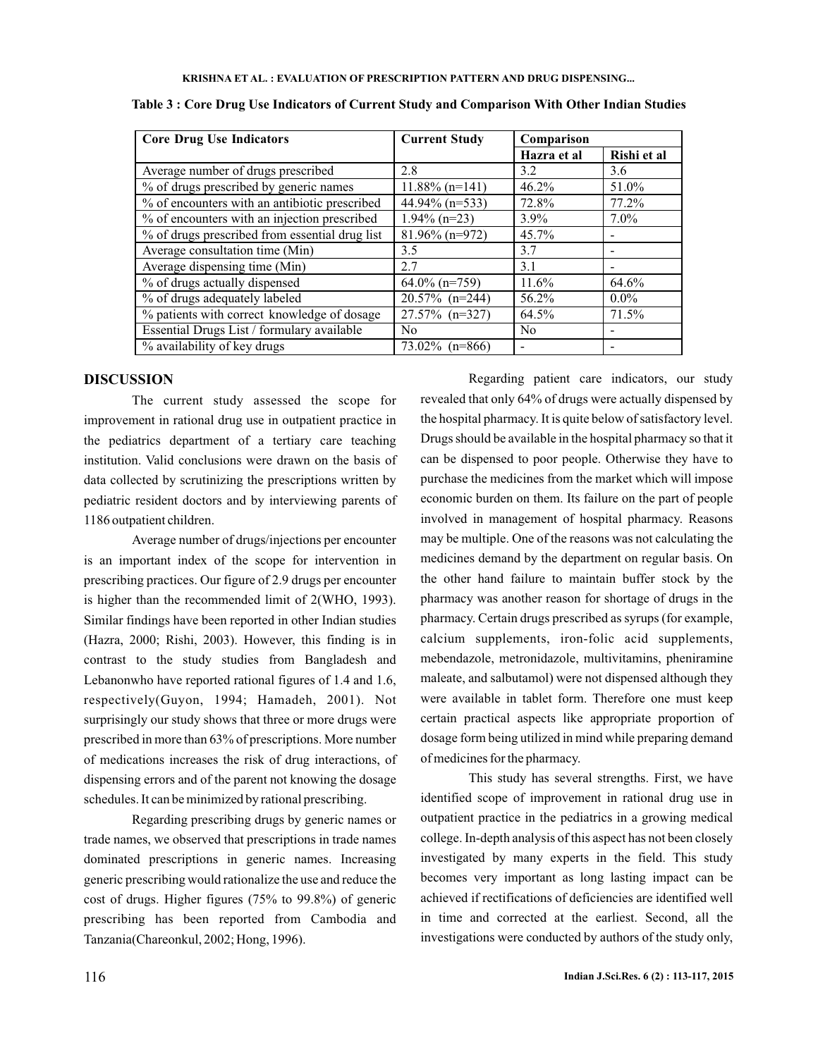| <b>Core Drug Use Indicators</b>                | <b>Current Study</b> | Comparison     |             |
|------------------------------------------------|----------------------|----------------|-------------|
|                                                |                      | Hazra et al    | Rishi et al |
| Average number of drugs prescribed             | 2.8                  | 3.2            | 3.6         |
| % of drugs prescribed by generic names         | $11.88\%$ (n=141)    | 46.2%          | 51.0%       |
| % of encounters with an antibiotic prescribed  | 44.94% (n=533)       | 72.8%          | 77.2%       |
| % of encounters with an injection prescribed   | $1.94\%$ (n=23)      | $3.9\%$        | $7.0\%$     |
| % of drugs prescribed from essential drug list | $81.96\%$ (n=972)    | 45.7%          |             |
| Average consultation time (Min)                | 3.5                  | 3.7            |             |
| Average dispensing time (Min)                  | 2.7                  | 3.1            |             |
| % of drugs actually dispensed                  | $64.0\%$ (n=759)     | 11.6%          | 64.6%       |
| % of drugs adequately labeled                  | $20.57\%$ (n=244)    | 56.2%          | $0.0\%$     |
| % patients with correct knowledge of dosage    | $27.57\%$ (n=327)    | 64.5%          | 71.5%       |
| Essential Drugs List / formulary available     | N <sub>0</sub>       | N <sub>0</sub> |             |
| % availability of key drugs                    | $73.02\%$ (n=866)    |                |             |

**Table 3 : Core Drug Use Indicators of Current Study and Comparison With Other Indian Studies**

#### **DISCUSSION**

The current study assessed the scope for improvement in rational drug use in outpatient practice in the pediatrics department of a tertiary care teaching institution. Valid conclusions were drawn on the basis of data collected by scrutinizing the prescriptions written by pediatric resident doctors and by interviewing parents of 1186 outpatient children.

Average number of drugs/injections per encounter is an important index of the scope for intervention in prescribing practices. Our figure of 2.9 drugs per encounter is higher than the recommended limit of 2(WHO, 1993). Similar findings have been reported in other Indian studies (Hazra, 2000; Rishi, 2003). However, this finding is in contrast to the study studies from Bangladesh and Lebanonwho have reported rational figures of 1.4 and 1.6, respectively(Guyon, 1994; Hamadeh, 2001). Not surprisingly our study shows that three or more drugs were prescribed in more than 63% of prescriptions. More number of medications increases the risk of drug interactions, of dispensing errors and of the parent not knowing the dosage schedules. It can be minimized by rational prescribing.

Regarding prescribing drugs by generic names or trade names, we observed that prescriptions in trade names dominated prescriptions in generic names. Increasing generic prescribing would rationalize the use and reduce the cost of drugs. Higher figures (75% to 99.8%) of generic prescribing has been reported from Cambodia and Tanzania(Chareonkul, 2002; Hong, 1996).

Regarding patient care indicators, our study revealed that only 64% of drugs were actually dispensed by the hospital pharmacy. It is quite below of satisfactory level. Drugs should be available in the hospital pharmacy so that it can be dispensed to poor people. Otherwise they have to purchase the medicines from the market which will impose economic burden on them. Its failure on the part of people involved in management of hospital pharmacy. Reasons may be multiple. One of the reasons was not calculating the medicines demand by the department on regular basis. On the other hand failure to maintain buffer stock by the pharmacy was another reason for shortage of drugs in the pharmacy. Certain drugs prescribed as syrups (for example, calcium supplements, iron-folic acid supplements, mebendazole, metronidazole, multivitamins, pheniramine maleate, and salbutamol) were not dispensed although they were available in tablet form. Therefore one must keep certain practical aspects like appropriate proportion of dosage form being utilized in mind while preparing demand of medicines for the pharmacy.

This study has several strengths. First, we have identified scope of improvement in rational drug use in outpatient practice in the pediatrics in a growing medical college. In-depth analysis of this aspect has not been closely investigated by many experts in the field. This study becomes very important as long lasting impact can be achieved if rectifications of deficiencies are identified well in time and corrected at the earliest. Second, all the investigations were conducted by authors of the study only,